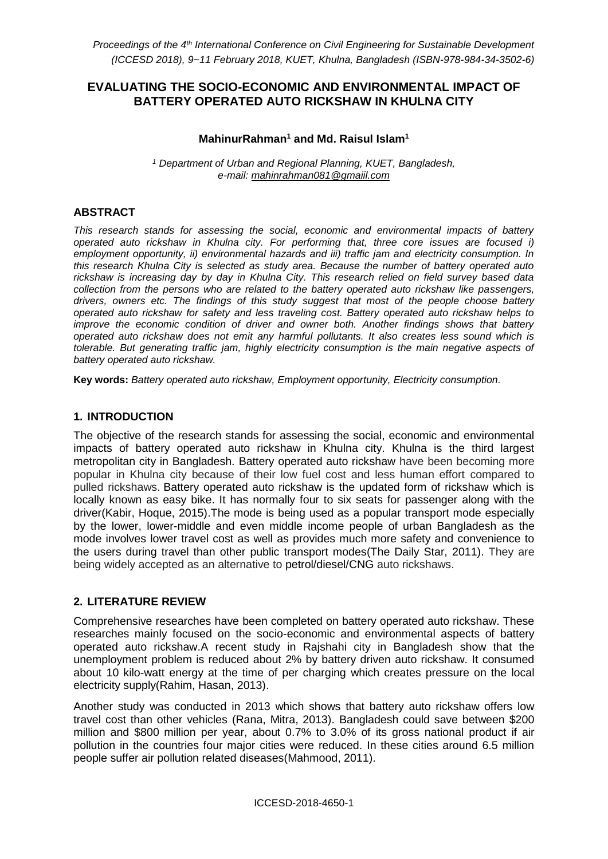# **EVALUATING THE SOCIO-ECONOMIC AND ENVIRONMENTAL IMPACT OF BATTERY OPERATED AUTO RICKSHAW IN KHULNA CITY**

# **MahinurRahman<sup>1</sup> and Md. Raisul Islam<sup>1</sup>**

*<sup>1</sup> Department of Urban and Regional Planning, KUET, Bangladesh, e-mail: [mahinrahman081@gmaiil.com](mailto:mahinrahman081@gmaiil.com)*

#### **ABSTRACT**

*This research stands for assessing the social, economic and environmental impacts of battery operated auto rickshaw in Khulna city. For performing that, three core issues are focused i) employment opportunity, ii) environmental hazards and iii) traffic jam and electricity consumption. In this research Khulna City is selected as study area. Because the number of battery operated auto rickshaw is increasing day by day in Khulna City. This research relied on field survey based data collection from the persons who are related to the battery operated auto rickshaw like passengers, drivers, owners etc. The findings of this study suggest that most of the people choose battery operated auto rickshaw for safety and less traveling cost. Battery operated auto rickshaw helps to improve the economic condition of driver and owner both. Another findings shows that battery operated auto rickshaw does not emit any harmful pollutants. It also creates less sound which is tolerable. But generating traffic jam, highly electricity consumption is the main negative aspects of battery operated auto rickshaw.*

**Key words:** *Battery operated auto rickshaw, Employment opportunity, Electricity consumption.*

#### **1. INTRODUCTION**

The objective of the research stands for assessing the social, economic and environmental impacts of battery operated auto rickshaw in Khulna city. Khulna is the third largest metropolitan city in Bangladesh. Battery operated auto rickshaw have been becoming more popular in Khulna city because of their low fuel cost and less human effort compared to pulled rickshaws. Battery operated auto rickshaw is the updated form of rickshaw which is locally known as easy bike. It has normally four to six seats for passenger along with the driver(Kabir, Hoque, 2015).The mode is being used as a popular transport mode especially by the lower, lower-middle and even middle income people of urban Bangladesh as the mode involves lower travel cost as well as provides much more safety and convenience to the users during travel than other public transport modes(The Daily Star, 2011). They are being widely accepted as an alternative to [petrol](https://en.wikipedia.org/wiki/Petrol)[/diesel](https://en.wikipedia.org/wiki/Diesel_fuel)[/CNG](https://en.wikipedia.org/wiki/CNG) auto rickshaws.

## **2. LITERATURE REVIEW**

Comprehensive researches have been completed on battery operated auto rickshaw. These researches mainly focused on the socio-economic and environmental aspects of battery operated auto rickshaw.A recent study in Rajshahi city in Bangladesh show that the unemployment problem is reduced about 2% by battery driven auto rickshaw. It consumed about 10 kilo-watt energy at the time of per charging which creates pressure on the local electricity supply(Rahim, Hasan, 2013).

Another study was conducted in 2013 which shows that battery auto rickshaw offers low travel cost than other vehicles (Rana, Mitra, 2013). Bangladesh could save between \$200 million and \$800 million per year, about 0.7% to 3.0% of its gross national product if air pollution in the countries four major cities were reduced. In these cities around 6.5 million people suffer air pollution related diseases(Mahmood, 2011).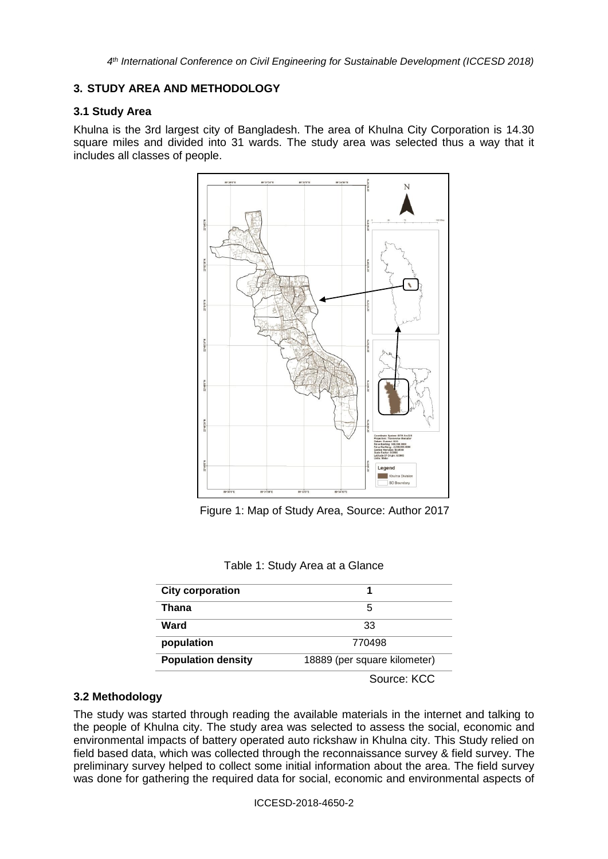# **3. STUDY AREA AND METHODOLOGY**

# **3.1 Study Area**

Khulna is the 3rd largest city of Bangladesh. The area of Khulna City Corporation is 14.30 square miles and divided into 31 wards. The study area was selected thus a way that it includes all classes of people.



Figure 1: Map of Study Area, Source: Author 2017

| Table 1: Study Area at a Glance |  |  |  |  |  |
|---------------------------------|--|--|--|--|--|
|---------------------------------|--|--|--|--|--|

| <b>City corporation</b>   |                              |  |  |
|---------------------------|------------------------------|--|--|
| Thana                     | 5                            |  |  |
| Ward                      | 33                           |  |  |
| population                | 770498                       |  |  |
| <b>Population density</b> | 18889 (per square kilometer) |  |  |
|                           | Source: KCC                  |  |  |

## **3.2 Methodology**

The study was started through reading the available materials in the internet and talking to the people of Khulna city. The study area was selected to assess the social, economic and environmental impacts of battery operated auto rickshaw in Khulna city. This Study relied on field based data, which was collected through the reconnaissance survey & field survey. The preliminary survey helped to collect some initial information about the area. The field survey was done for gathering the required data for social, economic and environmental aspects of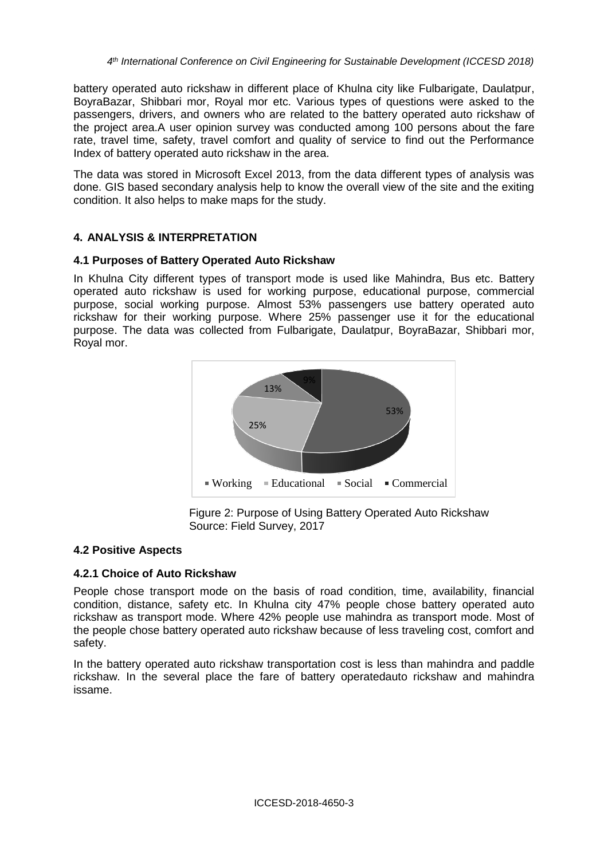battery operated auto rickshaw in different place of Khulna city like Fulbarigate, Daulatpur, BoyraBazar, Shibbari mor, Royal mor etc. Various types of questions were asked to the passengers, drivers, and owners who are related to the battery operated auto rickshaw of the project area.A user opinion survey was conducted among 100 persons about the fare rate, travel time, safety, travel comfort and quality of service to find out the Performance Index of battery operated auto rickshaw in the area.

The data was stored in Microsoft Excel 2013, from the data different types of analysis was done. GIS based secondary analysis help to know the overall view of the site and the exiting condition. It also helps to make maps for the study.

# **4. ANALYSIS & INTERPRETATION**

## **4.1 Purposes of Battery Operated Auto Rickshaw**

In Khulna City different types of transport mode is used like Mahindra, Bus etc. Battery operated auto rickshaw is used for working purpose, educational purpose, commercial purpose, social working purpose. Almost 53% passengers use battery operated auto rickshaw for their working purpose. Where 25% passenger use it for the educational purpose. The data was collected from Fulbarigate, Daulatpur, BoyraBazar, Shibbari mor, Royal mor.



Figure 2: Purpose of Using Battery Operated Auto Rickshaw Source: Field Survey, 2017

## **4.2 Positive Aspects**

## **4.2.1 Choice of Auto Rickshaw**

People chose transport mode on the basis of road condition, time, availability, financial condition, distance, safety etc. In Khulna city 47% people chose battery operated auto rickshaw as transport mode. Where 42% people use mahindra as transport mode. Most of the people chose battery operated auto rickshaw because of less traveling cost, comfort and safety.

In the battery operated auto rickshaw transportation cost is less than mahindra and paddle rickshaw. In the several place the fare of battery operatedauto rickshaw and mahindra issame.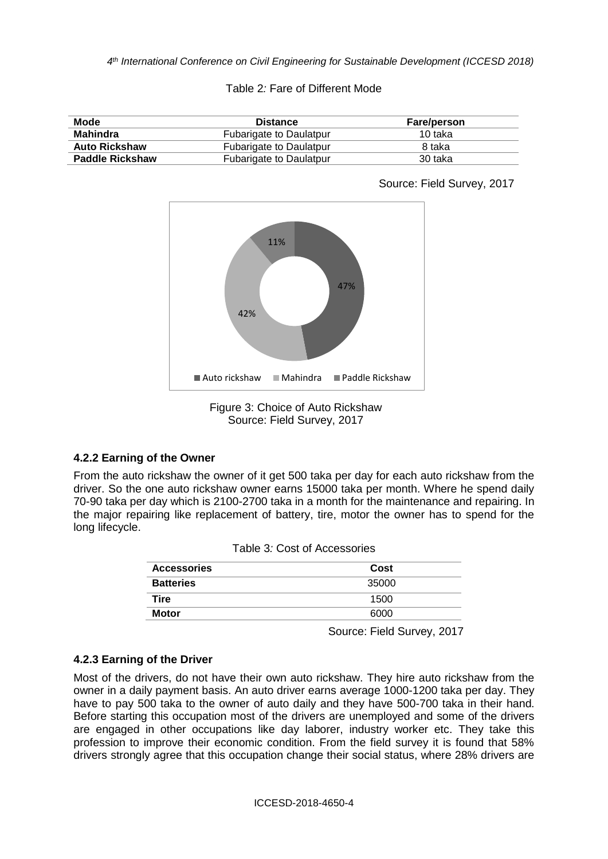Table 2*:* Fare of Different Mode

| Mode                   | <b>Distance</b>                | <b>Fare/person</b> |
|------------------------|--------------------------------|--------------------|
| Mahindra               | Fubarigate to Daulatpur        | 10 taka            |
| <b>Auto Rickshaw</b>   | <b>Fubarigate to Daulatpur</b> | 8 taka             |
| <b>Paddle Rickshaw</b> | Fubarigate to Daulatpur        | 30 taka            |



Source: Field Survey, 2017

Figure 3: Choice of Auto Rickshaw Source: Field Survey, 2017

## **4.2.2 Earning of the Owner**

From the auto rickshaw the owner of it get 500 taka per day for each auto rickshaw from the driver. So the one auto rickshaw owner earns 15000 taka per month. Where he spend daily 70-90 taka per day which is 2100-2700 taka in a month for the maintenance and repairing. In the major repairing like replacement of battery, tire, motor the owner has to spend for the long lifecycle.

| Cost  |  |  |
|-------|--|--|
| 35000 |  |  |
| 1500  |  |  |
| 6000  |  |  |
|       |  |  |

| Table 3: Cost of Accessories |
|------------------------------|
|------------------------------|

Source: Field Survey, 2017

# **4.2.3 Earning of the Driver**

Most of the drivers, do not have their own auto rickshaw. They hire auto rickshaw from the owner in a daily payment basis. An auto driver earns average 1000-1200 taka per day. They have to pay 500 taka to the owner of auto daily and they have 500-700 taka in their hand. Before starting this occupation most of the drivers are unemployed and some of the drivers are engaged in other occupations like day laborer, industry worker etc. They take this profession to improve their economic condition. From the field survey it is found that 58% drivers strongly agree that this occupation change their social status, where 28% drivers are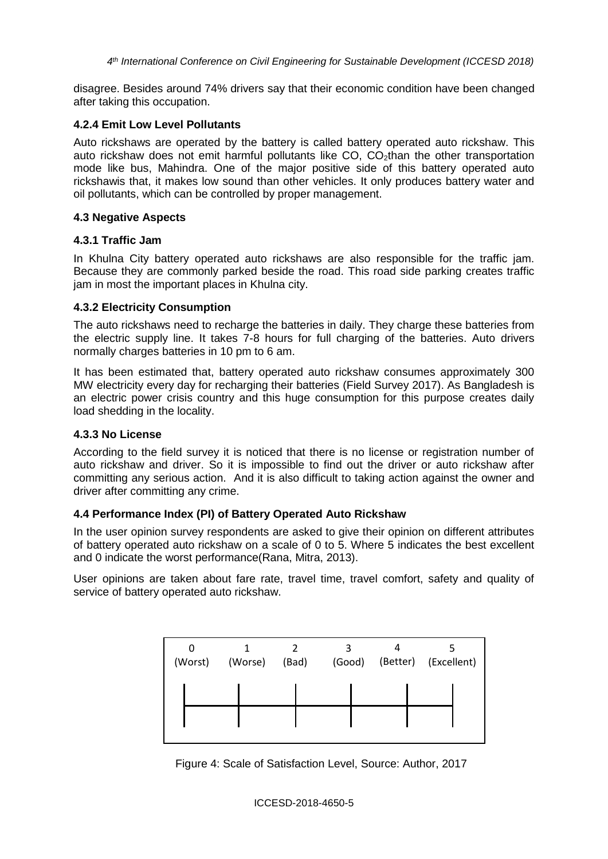disagree. Besides around 74% drivers say that their economic condition have been changed after taking this occupation.

#### **4.2.4 Emit Low Level Pollutants**

Auto rickshaws are operated by the battery is called battery operated auto rickshaw. This auto rickshaw does not emit harmful pollutants like  $CO$ ,  $CO<sub>2</sub>$ than the other transportation mode like bus, Mahindra. One of the major positive side of this battery operated auto rickshawis that, it makes low sound than other vehicles. It only produces battery water and oil pollutants, which can be controlled by proper management.

#### **4.3 Negative Aspects**

#### **4.3.1 Traffic Jam**

In Khulna City battery operated auto rickshaws are also responsible for the traffic jam. Because they are commonly parked beside the road. This road side parking creates traffic jam in most the important places in Khulna city.

## **4.3.2 Electricity Consumption**

The auto rickshaws need to recharge the batteries in daily. They charge these batteries from the electric supply line. It takes 7-8 hours for full charging of the batteries. Auto drivers normally charges batteries in 10 pm to 6 am.

It has been estimated that, battery operated auto rickshaw consumes approximately 300 MW electricity every day for recharging their batteries (Field Survey 2017). As Bangladesh is an electric power crisis country and this huge consumption for this purpose creates daily load shedding in the locality.

#### **4.3.3 No License**

According to the field survey it is noticed that there is no license or registration number of auto rickshaw and driver. So it is impossible to find out the driver or auto rickshaw after committing any serious action. And it is also difficult to taking action against the owner and driver after committing any crime.

## **4.4 Performance Index (PI) of Battery Operated Auto Rickshaw**

In the user opinion survey respondents are asked to give their opinion on different attributes of battery operated auto rickshaw on a scale of 0 to 5. Where 5 indicates the best excellent and 0 indicate the worst performance(Rana, Mitra, 2013).

User opinions are taken about fare rate, travel time, travel comfort, safety and quality of service of battery operated auto rickshaw.



Figure 4: Scale of Satisfaction Level, Source: Author, 2017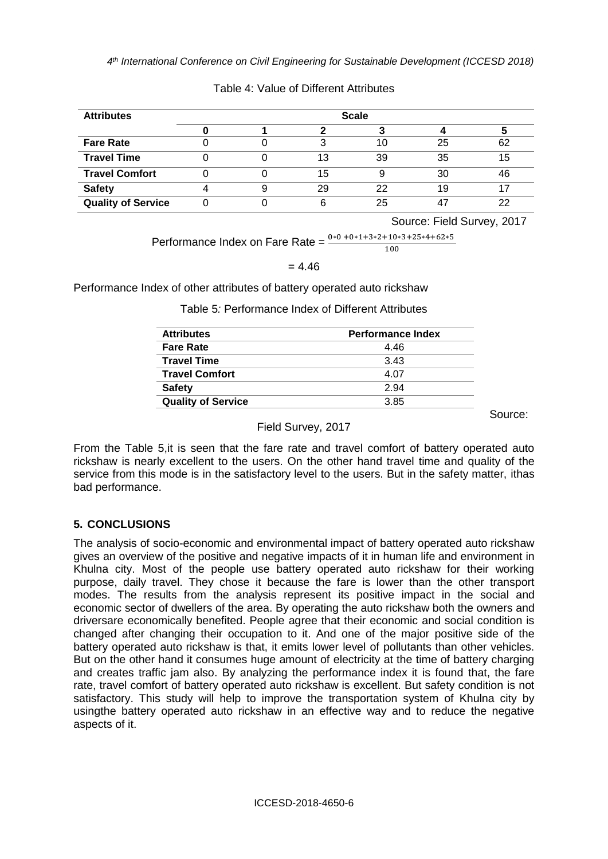| <b>Attributes</b>         |  |    | <b>Scale</b> |    |    |
|---------------------------|--|----|--------------|----|----|
|                           |  |    |              |    |    |
| <b>Fare Rate</b>          |  |    | 10           | 25 | 62 |
| <b>Travel Time</b>        |  | 13 | 39           | 35 | 15 |
| <b>Travel Comfort</b>     |  | 15 |              | 30 | 46 |
| <b>Safety</b>             |  | 29 | 22           | 19 |    |
| <b>Quality of Service</b> |  |    | 25           |    | 22 |

#### Table 4: Value of Different Attributes

Source: Field Survey, 2017

Performance Index on Fare Rate =  $\frac{0*0+0*1+3*2+10*3+25*4+62*5}{100}$ 

#### $= 4.46$

Performance Index of other attributes of battery operated auto rickshaw

Table 5*:* Performance Index of Different Attributes

| <b>Attributes</b>         | <b>Performance Index</b> |
|---------------------------|--------------------------|
| <b>Fare Rate</b>          | 446                      |
| <b>Travel Time</b>        | 3.43                     |
| <b>Travel Comfort</b>     | 4.07                     |
| <b>Safety</b>             | 2.94                     |
| <b>Quality of Service</b> | 3.85                     |

Source: The Contract of the Contract of the Source:

#### Field Survey, 2017

From the Table 5,it is seen that the fare rate and travel comfort of battery operated auto rickshaw is nearly excellent to the users. On the other hand travel time and quality of the service from this mode is in the satisfactory level to the users. But in the safety matter, ithas bad performance.

# **5. CONCLUSIONS**

The analysis of socio-economic and environmental impact of battery operated auto rickshaw gives an overview of the positive and negative impacts of it in human life and environment in Khulna city. Most of the people use battery operated auto rickshaw for their working purpose, daily travel. They chose it because the fare is lower than the other transport modes. The results from the analysis represent its positive impact in the social and economic sector of dwellers of the area. By operating the auto rickshaw both the owners and driversare economically benefited. People agree that their economic and social condition is changed after changing their occupation to it. And one of the major positive side of the battery operated auto rickshaw is that, it emits lower level of pollutants than other vehicles. But on the other hand it consumes huge amount of electricity at the time of battery charging and creates traffic jam also. By analyzing the performance index it is found that, the fare rate, travel comfort of battery operated auto rickshaw is excellent. But safety condition is not satisfactory. This study will help to improve the transportation system of Khulna city by usingthe battery operated auto rickshaw in an effective way and to reduce the negative aspects of it.